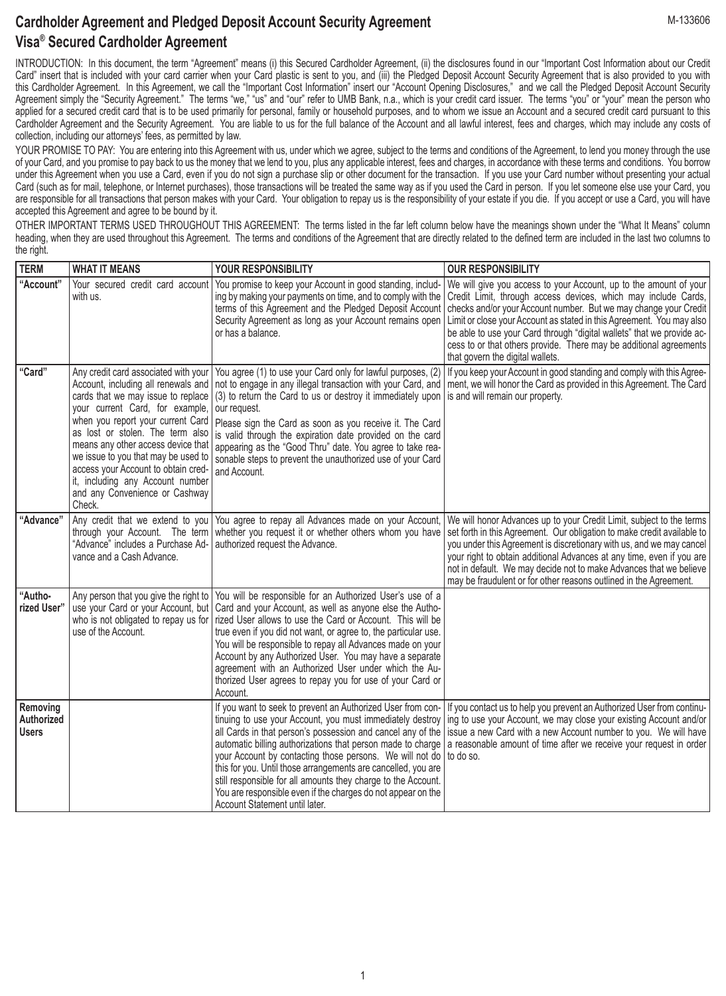## **Cardholder Agreement and Pledged Deposit Account Security Agreement Visa® Secured Cardholder Agreement**

INTRODUCTION: In this document, the term "Agreement" means (i) this Secured Cardholder Agreement, (ii) the disclosures found in our "Important Cost Information about our Credit Card" insert that is included with your card carrier when your Card plastic is sent to you, and (iii) the Pledged Deposit Account Security Agreement that is also provided to you with this Cardholder Agreement. In this Agreement, we call the "Important Cost Information" insert our "Account Opening Disclosures," and we call the Pledged Deposit Account Security Agreement simply the "Security Agreement." The terms "we," "us" and "our" refer to UMB Bank, n.a., which is your credit card issuer. The terms "you" or "your" mean the person who applied for a secured credit card that is to be used primarily for personal, family or household purposes, and to whom we issue an Account and a secured credit card pursuant to this Cardholder Agreement and the Security Agreement. You are liable to us for the full balance of the Account and all lawful interest, fees and charges, which may include any costs of collection, including our attorneys' fees, as permitted by law.

YOUR PROMISE TO PAY: You are entering into this Agreement with us, under which we agree, subject to the terms and conditions of the Agreement, to lend you money through the use of your Card, and you promise to pay back to us the money that we lend to you, plus any applicable interest, fees and charges, in accordance with these terms and conditions. You borrow under this Agreement when you use a Card, even if you do not sign a purchase slip or other document for the transaction. If you use your Card number without presenting your actual Card (such as for mail, telephone, or Internet purchases), those transactions will be treated the same way as if you used the Card in person. If you let someone else use your Card, you are responsible for all transactions that person makes with your Card. Your obligation to repay us is the responsibility of your estate if you die. If you accept or use a Card, you will have accepted this Agreement and agree to be bound by it.

OTHER IMPORTANT TERMS USED THROUGHOUT THIS AGREEMENT: The terms listed in the far left column below have the meanings shown under the "What It Means" column heading, when they are used throughout this Agreement. The terms and conditions of the Agreement that are directly related to the defined term are included in the last two columns to the right.

| <b>TERM</b>                            | <b>WHAT IT MEANS</b>                                                                                                                                                                                                                                                                                                                                                                                                              | YOUR RESPONSIBILITY                                                                                                                                                                                                                                                                                                                                                                                                                                                                                               | <b>OUR RESPONSIBILITY</b>                                                                                                                                                                                                                                                                                                                                                                                                                                                                                                               |
|----------------------------------------|-----------------------------------------------------------------------------------------------------------------------------------------------------------------------------------------------------------------------------------------------------------------------------------------------------------------------------------------------------------------------------------------------------------------------------------|-------------------------------------------------------------------------------------------------------------------------------------------------------------------------------------------------------------------------------------------------------------------------------------------------------------------------------------------------------------------------------------------------------------------------------------------------------------------------------------------------------------------|-----------------------------------------------------------------------------------------------------------------------------------------------------------------------------------------------------------------------------------------------------------------------------------------------------------------------------------------------------------------------------------------------------------------------------------------------------------------------------------------------------------------------------------------|
| "Account"                              | Your secured credit card account<br>with us.                                                                                                                                                                                                                                                                                                                                                                                      | You promise to keep your Account in good standing, includ-<br>ing by making your payments on time, and to comply with the<br>terms of this Agreement and the Pledged Deposit Account<br>Security Agreement as long as your Account remains open<br>or has a balance.                                                                                                                                                                                                                                              | We will give you access to your Account, up to the amount of your<br>Credit Limit, through access devices, which may include Cards,<br>checks and/or your Account number. But we may change your Credit<br>Limit or close your Account as stated in this Agreement. You may also<br>be able to use your Card through "digital wallets" that we provide ac-<br>cess to or that others provide. There may be additional agreements<br>that govern the digital wallets.                                                                    |
| "Card"                                 | Any credit card associated with your<br>Account, including all renewals and<br>cards that we may issue to replace<br>your current Card, for example,<br>when you report your current Card<br>as lost or stolen. The term also<br>means any other access device that<br>we issue to you that may be used to<br>access your Account to obtain cred-<br>it, including any Account number<br>and any Convenience or Cashway<br>Check. | You agree (1) to use your Card only for lawful purposes, (2)<br>(3) to return the Card to us or destroy it immediately upon is and will remain our property.<br>our request.<br>Please sign the Card as soon as you receive it. The Card<br>is valid through the expiration date provided on the card<br>appearing as the "Good Thru" date. You agree to take rea-<br>sonable steps to prevent the unauthorized use of your Card<br>and Account.                                                                  | If you keep your Account in good standing and comply with this Agree-<br>not to engage in any illegal transaction with your Card, and   ment, we will honor the Card as provided in this Agreement. The Card                                                                                                                                                                                                                                                                                                                            |
| "Advance"                              | Any credit that we extend to you<br>through your Account. The term<br>"Advance" includes a Purchase Ad-<br>vance and a Cash Advance.                                                                                                                                                                                                                                                                                              | You agree to repay all Advances made on your Account,<br>whether you request it or whether others whom you have<br>authorized request the Advance.                                                                                                                                                                                                                                                                                                                                                                | We will honor Advances up to your Credit Limit, subject to the terms<br>set forth in this Agreement. Our obligation to make credit available to<br>you under this Agreement is discretionary with us, and we may cancel<br>your right to obtain additional Advances at any time, even if you are<br>not in default. We may decide not to make Advances that we believe<br>may be fraudulent or for other reasons outlined in the Agreement.                                                                                             |
| "Autho-<br>rized User"                 | Any person that you give the right to<br>use your Card or your Account, but<br>who is not obligated to repay us for<br>use of the Account.                                                                                                                                                                                                                                                                                        | You will be responsible for an Authorized User's use of a<br>Card and your Account, as well as anyone else the Autho-<br>rized User allows to use the Card or Account. This will be<br>true even if you did not want, or agree to, the particular use.<br>You will be responsible to repay all Advances made on your<br>Account by any Authorized User. You may have a separate<br>agreement with an Authorized User under which the Au-<br>thorized User agrees to repay you for use of your Card or<br>Account. |                                                                                                                                                                                                                                                                                                                                                                                                                                                                                                                                         |
| Removing<br>Authorized<br><b>Users</b> |                                                                                                                                                                                                                                                                                                                                                                                                                                   | your Account by contacting those persons. We will not do to do so.<br>this for you. Until those arrangements are cancelled, you are<br>still responsible for all amounts they charge to the Account.<br>You are responsible even if the charges do not appear on the<br>Account Statement until later.                                                                                                                                                                                                            | If you want to seek to prevent an Authorized User from con- If you contact us to help you prevent an Authorized User from continu-<br>tinuing to use your Account, you must immediately destroy   ing to use your Account, we may close your existing Account and/or<br>all Cards in that person's possession and cancel any of the issue a new Card with a new Account number to you. We will have<br>automatic billing authorizations that person made to charge   a reasonable amount of time after we receive your request in order |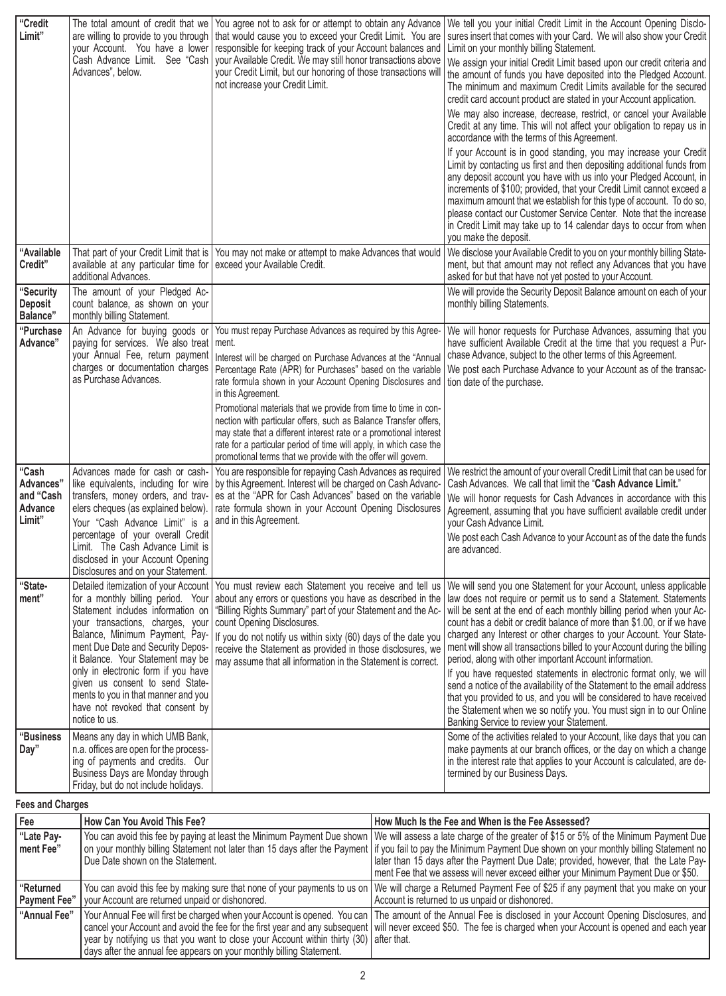| "Credit<br>Limit"                                    | The total amount of credit that we<br>are willing to provide to you through<br>your Account. You have a lower<br>Cash Advance Limit. See "Cash<br>Advances", below.                                                                                                                                                                                                                           | You agree not to ask for or attempt to obtain any Advance<br>that would cause you to exceed your Credit Limit. You are<br>responsible for keeping track of your Account balances and<br>your Available Credit. We may still honor transactions above<br>your Credit Limit, but our honoring of those transactions will<br>not increase your Credit Limit.                                                                                                                                                                                                                                                                         |  | We tell you your initial Credit Limit in the Account Opening Disclo-<br>sures insert that comes with your Card. We will also show your Credit<br>Limit on your monthly billing Statement.<br>We assign your initial Credit Limit based upon our credit criteria and<br>the amount of funds you have deposited into the Pledged Account.<br>The minimum and maximum Credit Limits available for the secured<br>credit card account product are stated in your Account application.<br>We may also increase, decrease, restrict, or cancel your Available<br>Credit at any time. This will not affect your obligation to repay us in<br>accordance with the terms of this Agreement.<br>If your Account is in good standing, you may increase your Credit<br>Limit by contacting us first and then depositing additional funds from<br>any deposit account you have with us into your Pledged Account, in<br>increments of \$100; provided, that your Credit Limit cannot exceed a<br>maximum amount that we establish for this type of account. To do so,<br>please contact our Customer Service Center. Note that the increase<br>in Credit Limit may take up to 14 calendar days to occur from when<br>you make the deposit. |
|------------------------------------------------------|-----------------------------------------------------------------------------------------------------------------------------------------------------------------------------------------------------------------------------------------------------------------------------------------------------------------------------------------------------------------------------------------------|-----------------------------------------------------------------------------------------------------------------------------------------------------------------------------------------------------------------------------------------------------------------------------------------------------------------------------------------------------------------------------------------------------------------------------------------------------------------------------------------------------------------------------------------------------------------------------------------------------------------------------------|--|-------------------------------------------------------------------------------------------------------------------------------------------------------------------------------------------------------------------------------------------------------------------------------------------------------------------------------------------------------------------------------------------------------------------------------------------------------------------------------------------------------------------------------------------------------------------------------------------------------------------------------------------------------------------------------------------------------------------------------------------------------------------------------------------------------------------------------------------------------------------------------------------------------------------------------------------------------------------------------------------------------------------------------------------------------------------------------------------------------------------------------------------------------------------------------------------------------------------------------|
| "Available<br>Credit"                                | That part of your Credit Limit that is<br>available at any particular time for<br>additional Advances.                                                                                                                                                                                                                                                                                        | You may not make or attempt to make Advances that would<br>exceed your Available Credit.                                                                                                                                                                                                                                                                                                                                                                                                                                                                                                                                          |  | We disclose your Available Credit to you on your monthly billing State-<br>ment, but that amount may not reflect any Advances that you have<br>asked for but that have not yet posted to your Account.                                                                                                                                                                                                                                                                                                                                                                                                                                                                                                                                                                                                                                                                                                                                                                                                                                                                                                                                                                                                                        |
| "Security<br>Deposit<br>Balance"                     | The amount of your Pledged Ac-<br>count balance, as shown on your<br>monthly billing Statement.                                                                                                                                                                                                                                                                                               |                                                                                                                                                                                                                                                                                                                                                                                                                                                                                                                                                                                                                                   |  | We will provide the Security Deposit Balance amount on each of your<br>monthly billing Statements.                                                                                                                                                                                                                                                                                                                                                                                                                                                                                                                                                                                                                                                                                                                                                                                                                                                                                                                                                                                                                                                                                                                            |
| "Purchase<br>Advance"                                | An Advance for buying goods or<br>paying for services. We also treat ment.<br>your Annual Fee, return payment<br>charges or documentation charges<br>as Purchase Advances.                                                                                                                                                                                                                    | You must repay Purchase Advances as required by this Agree-<br>Interest will be charged on Purchase Advances at the "Annual<br>Percentage Rate (APR) for Purchases" based on the variable<br>rate formula shown in your Account Opening Disclosures and<br>in this Agreement.<br>Promotional materials that we provide from time to time in con-<br>nection with particular offers, such as Balance Transfer offers,<br>may state that a different interest rate or a promotional interest<br>rate for a particular period of time will apply, in which case the<br>promotional terms that we provide with the offer will govern. |  | We will honor requests for Purchase Advances, assuming that you<br>have sufficient Available Credit at the time that you request a Pur-<br>chase Advance, subject to the other terms of this Agreement.<br>We post each Purchase Advance to your Account as of the transac-<br>tion date of the purchase.                                                                                                                                                                                                                                                                                                                                                                                                                                                                                                                                                                                                                                                                                                                                                                                                                                                                                                                     |
| "Cash<br>Advances"<br>and "Cash<br>Advance<br>Limit" | Advances made for cash or cash-<br>like equivalents, including for wire<br>transfers, money orders, and trav-<br>elers cheques (as explained below).<br>Your "Cash Advance Limit" is a<br>percentage of your overall Credit<br>Limit. The Cash Advance Limit is<br>disclosed in your Account Opening<br>Disclosures and on your Statement.                                                    | You are responsible for repaying Cash Advances as required<br>by this Agreement. Interest will be charged on Cash Advanc-<br>es at the "APR for Cash Advances" based on the variable<br>rate formula shown in your Account Opening Disclosures<br>and in this Agreement.                                                                                                                                                                                                                                                                                                                                                          |  | We restrict the amount of your overall Credit Limit that can be used for<br>Cash Advances. We call that limit the "Cash Advance Limit."<br>We will honor requests for Cash Advances in accordance with this<br>Agreement, assuming that you have sufficient available credit under<br>your Cash Advance Limit.<br>We post each Cash Advance to your Account as of the date the funds<br>are advanced.                                                                                                                                                                                                                                                                                                                                                                                                                                                                                                                                                                                                                                                                                                                                                                                                                         |
| "State-<br>ment"                                     | for a monthly billing period. Your<br>Statement includes information on<br>your transactions, charges, your<br>Balance, Minimum Payment, Pay-<br>ment Due Date and Security Depos-<br>it Balance. Your Statement may be<br>only in electronic form if you have<br>given us consent to send State-<br>ments to you in that manner and you<br>have not revoked that consent by<br>notice to us. | Detailed itemization of your Account   You must review each Statement you receive and tell us<br>about any errors or questions you have as described in the<br>"Billing Rights Summary" part of your Statement and the Ac-<br>count Opening Disclosures.<br>If you do not notify us within sixty (60) days of the date you<br>receive the Statement as provided in those disclosures, we<br>may assume that all information in the Statement is correct.                                                                                                                                                                          |  | We will send you one Statement for your Account, unless applicable<br>law does not require or permit us to send a Statement. Statements<br>will be sent at the end of each monthly billing period when your Ac-<br>count has a debit or credit balance of more than \$1.00, or if we have<br>charged any Interest or other charges to your Account. Your State-<br>ment will show all transactions billed to your Account during the billing<br>period, along with other important Account information.<br>If you have requested statements in electronic format only, we will<br>send a notice of the availability of the Statement to the email address<br>that you provided to us, and you will be considered to have received<br>the Statement when we so notify you. You must sign in to our Online<br>Banking Service to review your Statement.                                                                                                                                                                                                                                                                                                                                                                         |
| <b>"Business</b><br>Day"                             | Means any day in which UMB Bank,<br>n.a. offices are open for the process-<br>ing of payments and credits. Our<br>Business Days are Monday through<br>Friday, but do not include holidays.                                                                                                                                                                                                    |                                                                                                                                                                                                                                                                                                                                                                                                                                                                                                                                                                                                                                   |  | Some of the activities related to your Account, like days that you can<br>make payments at our branch offices, or the day on which a change<br>in the interest rate that applies to your Account is calculated, are de-<br>termined by our Business Days.                                                                                                                                                                                                                                                                                                                                                                                                                                                                                                                                                                                                                                                                                                                                                                                                                                                                                                                                                                     |
| <b>Fees and Charges</b>                              |                                                                                                                                                                                                                                                                                                                                                                                               |                                                                                                                                                                                                                                                                                                                                                                                                                                                                                                                                                                                                                                   |  |                                                                                                                                                                                                                                                                                                                                                                                                                                                                                                                                                                                                                                                                                                                                                                                                                                                                                                                                                                                                                                                                                                                                                                                                                               |
| Fee                                                  | How Can You Avoid This Fee?                                                                                                                                                                                                                                                                                                                                                                   |                                                                                                                                                                                                                                                                                                                                                                                                                                                                                                                                                                                                                                   |  | How Much Is the Fee and When is the Fee Assessed?                                                                                                                                                                                                                                                                                                                                                                                                                                                                                                                                                                                                                                                                                                                                                                                                                                                                                                                                                                                                                                                                                                                                                                             |
| <b>BLAAR</b>                                         |                                                                                                                                                                                                                                                                                                                                                                                               |                                                                                                                                                                                                                                                                                                                                                                                                                                                                                                                                                                                                                                   |  | aroctor of $0.45 \times 0.01$ of the Minimum                                                                                                                                                                                                                                                                                                                                                                                                                                                                                                                                                                                                                                                                                                                                                                                                                                                                                                                                                                                                                                                                                                                                                                                  |

| ווטט                      | $110W$ vall to a $700W$ this tee :                                                                                                                              | ווטא ווועטוו וס נווט ו טט מווע זיווטוו וס נווט ו טט הסטטסטט                                                                                                                                                                                                                                                                                                                                                                                                                                                          |
|---------------------------|-----------------------------------------------------------------------------------------------------------------------------------------------------------------|----------------------------------------------------------------------------------------------------------------------------------------------------------------------------------------------------------------------------------------------------------------------------------------------------------------------------------------------------------------------------------------------------------------------------------------------------------------------------------------------------------------------|
| "Late Pay-<br>l ment Fee" | Due Date shown on the Statement.                                                                                                                                | You can avoid this fee by paying at least the Minimum Payment Due shown   We will assess a late charge of the greater of \$15 or 5% of the Minimum Payment Due<br>on your monthly billing Statement not later than 15 days after the Payment   if you fail to pay the Minimum Payment Due shown on your monthly billing Statement no  <br>later than 15 days after the Payment Due Date; provided, however, that the Late Pay-<br>ment Fee that we assess will never exceed either your Minimum Payment Due or \$50. |
| "Returned<br>Payment Fee" | your Account are returned unpaid or dishonored.                                                                                                                 | You can avoid this fee by making sure that none of your payments to us on We will charge a Returned Payment Fee of \$25 if any payment that you make on your<br>Account is returned to us unpaid or dishonored.                                                                                                                                                                                                                                                                                                      |
| "Annual Fee"              | year by notifying us that you want to close your Account within thirty (30) after that.<br>days after the annual fee appears on your monthly billing Statement. | Your Annual Fee will first be charged when your Account is opened. You can The amount of the Annual Fee is disclosed in your Account Opening Disclosures, and<br>cancel your Account and avoid the fee for the first year and any subsequent   will never exceed \$50. The fee is charged when your Account is opened and each year                                                                                                                                                                                  |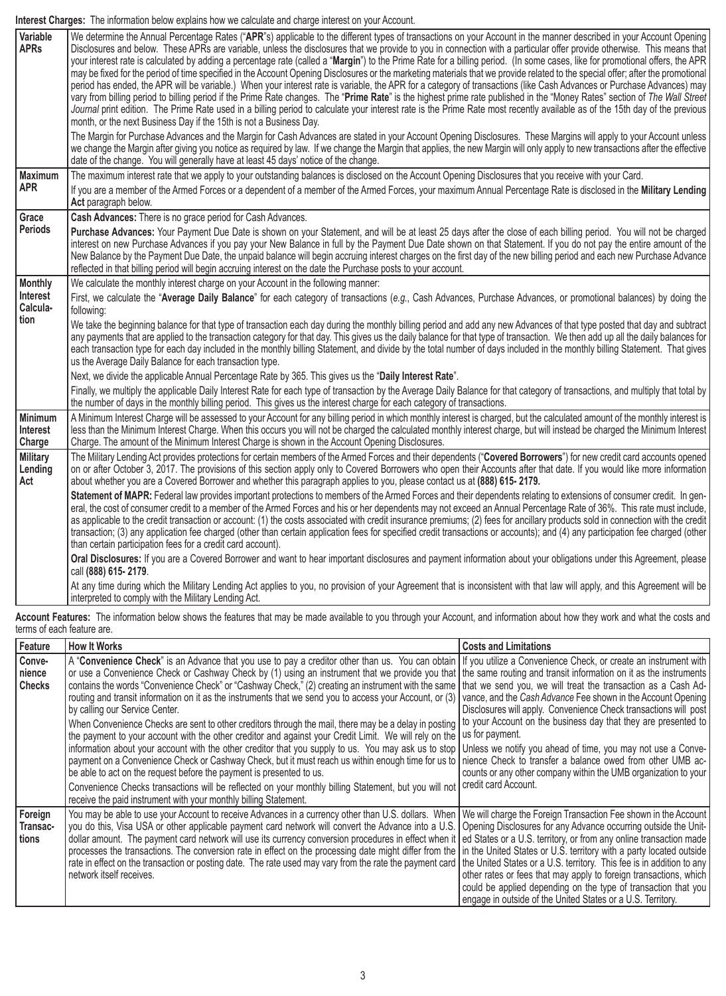**Interest Charges:** The information below explains how we calculate and charge interest on your Account.

| Variable<br><b>APRs</b>              | We determine the Annual Percentage Rates ("APR"s) applicable to the different types of transactions on your Account in the manner described in your Account Opening<br>Disclosures and below. These APRs are variable, unless the disclosures that we provide to you in connection with a particular offer provide otherwise. This means that<br>your interest rate is calculated by adding a percentage rate (called a "Margin") to the Prime Rate for a billing period. (In some cases, like for promotional offers, the APR<br>may be fixed for the period of time specified in the Account Opening Disclosures or the marketing materials that we provide related to the special offer; after the promotional<br>period has ended, the APR will be variable.) When your interest rate is variable, the APR for a category of transactions (like Cash Advances or Purchase Advances) may<br>vary from billing period to billing period if the Prime Rate changes. The "Prime Rate" is the highest prime rate published in the "Money Rates" section of The Wall Street<br>Journal print edition. The Prime Rate used in a billing period to calculate your interest rate is the Prime Rate most recently available as of the 15th day of the previous<br>month, or the next Business Day if the 15th is not a Business Day.<br>The Margin for Purchase Advances and the Margin for Cash Advances are stated in your Account Opening Disclosures. These Margins will apply to your Account unless |
|--------------------------------------|-----------------------------------------------------------------------------------------------------------------------------------------------------------------------------------------------------------------------------------------------------------------------------------------------------------------------------------------------------------------------------------------------------------------------------------------------------------------------------------------------------------------------------------------------------------------------------------------------------------------------------------------------------------------------------------------------------------------------------------------------------------------------------------------------------------------------------------------------------------------------------------------------------------------------------------------------------------------------------------------------------------------------------------------------------------------------------------------------------------------------------------------------------------------------------------------------------------------------------------------------------------------------------------------------------------------------------------------------------------------------------------------------------------------------------------------------------------------------------------------------------|
|                                      | we change the Margin after giving you notice as required by law. If we change the Margin that applies, the new Margin will only apply to new transactions after the effective<br>date of the change. You will generally have at least 45 days' notice of the change.                                                                                                                                                                                                                                                                                                                                                                                                                                                                                                                                                                                                                                                                                                                                                                                                                                                                                                                                                                                                                                                                                                                                                                                                                                |
| <b>Maximum</b>                       | The maximum interest rate that we apply to your outstanding balances is disclosed on the Account Opening Disclosures that you receive with your Card.                                                                                                                                                                                                                                                                                                                                                                                                                                                                                                                                                                                                                                                                                                                                                                                                                                                                                                                                                                                                                                                                                                                                                                                                                                                                                                                                               |
| <b>APR</b>                           | If you are a member of the Armed Forces or a dependent of a member of the Armed Forces, your maximum Annual Percentage Rate is disclosed in the Military Lending<br>Act paragraph below.                                                                                                                                                                                                                                                                                                                                                                                                                                                                                                                                                                                                                                                                                                                                                                                                                                                                                                                                                                                                                                                                                                                                                                                                                                                                                                            |
| Grace                                | Cash Advances: There is no grace period for Cash Advances.                                                                                                                                                                                                                                                                                                                                                                                                                                                                                                                                                                                                                                                                                                                                                                                                                                                                                                                                                                                                                                                                                                                                                                                                                                                                                                                                                                                                                                          |
| <b>Periods</b>                       | Purchase Advances: Your Payment Due Date is shown on your Statement, and will be at least 25 days after the close of each billing period. You will not be charged<br>interest on new Purchase Advances if you pay your New Balance in full by the Payment Due Date shown on that Statement. If you do not pay the entire amount of the<br>New Balance by the Payment Due Date, the unpaid balance will begin accruing interest charges on the first day of the new billing period and each new Purchase Advance<br>reflected in that billing period will begin accruing interest on the date the Purchase posts to your account.                                                                                                                                                                                                                                                                                                                                                                                                                                                                                                                                                                                                                                                                                                                                                                                                                                                                    |
| <b>Monthly</b>                       | We calculate the monthly interest charge on your Account in the following manner:                                                                                                                                                                                                                                                                                                                                                                                                                                                                                                                                                                                                                                                                                                                                                                                                                                                                                                                                                                                                                                                                                                                                                                                                                                                                                                                                                                                                                   |
| Interest<br>Calcula-<br>tion         | First, we calculate the "Average Daily Balance" for each category of transactions (e.g., Cash Advances, Purchase Advances, or promotional balances) by doing the<br>following:                                                                                                                                                                                                                                                                                                                                                                                                                                                                                                                                                                                                                                                                                                                                                                                                                                                                                                                                                                                                                                                                                                                                                                                                                                                                                                                      |
|                                      | We take the beginning balance for that type of transaction each day during the monthly billing period and add any new Advances of that type posted that day and subtract<br>any payments that are applied to the transaction category for that day. This gives us the daily balance for that type of transaction. We then add up all the daily balances for<br>each transaction type for each day included in the monthly billing Statement, and divide by the total number of days included in the monthly billing Statement. That gives<br>us the Average Daily Balance for each transaction type.                                                                                                                                                                                                                                                                                                                                                                                                                                                                                                                                                                                                                                                                                                                                                                                                                                                                                                |
|                                      | Next, we divide the applicable Annual Percentage Rate by 365. This gives us the "Daily Interest Rate".                                                                                                                                                                                                                                                                                                                                                                                                                                                                                                                                                                                                                                                                                                                                                                                                                                                                                                                                                                                                                                                                                                                                                                                                                                                                                                                                                                                              |
|                                      | Finally, we multiply the applicable Daily Interest Rate for each type of transaction by the Average Daily Balance for that category of transactions, and multiply that total by<br>the number of days in the monthly billing period. This gives us the interest charge for each category of transactions.                                                                                                                                                                                                                                                                                                                                                                                                                                                                                                                                                                                                                                                                                                                                                                                                                                                                                                                                                                                                                                                                                                                                                                                           |
| <b>Minimum</b><br>Interest<br>Charge | A Minimum Interest Charge will be assessed to your Account for any billing period in which monthly interest is charged, but the calculated amount of the monthly interest is<br>less than the Minimum Interest Charge. When this occurs you will not be charged the calculated monthly interest charge, but will instead be charged the Minimum Interest<br>Charge. The amount of the Minimum Interest Charge is shown in the Account Opening Disclosures.                                                                                                                                                                                                                                                                                                                                                                                                                                                                                                                                                                                                                                                                                                                                                                                                                                                                                                                                                                                                                                          |
| <b>Military</b><br>Lending<br>Act    | The Military Lending Act provides protections for certain members of the Armed Forces and their dependents ("Covered Borrowers") for new credit card accounts opened<br>on or after October 3, 2017. The provisions of this section apply only to Covered Borrowers who open their Accounts after that date. If you would like more information<br>about whether you are a Covered Borrower and whether this paragraph applies to you, please contact us at (888) 615-2179.                                                                                                                                                                                                                                                                                                                                                                                                                                                                                                                                                                                                                                                                                                                                                                                                                                                                                                                                                                                                                         |
|                                      | Statement of MAPR: Federal law provides important protections to members of the Armed Forces and their dependents relating to extensions of consumer credit. In gen-<br>eral, the cost of consumer credit to a member of the Armed Forces and his or her dependents may not exceed an Annual Percentage Rate of 36%. This rate must include,<br>as applicable to the credit transaction or account: (1) the costs associated with credit insurance premiums; (2) fees for ancillary products sold in connection with the credit<br>transaction; (3) any application fee charged (other than certain application fees for specified credit transactions or accounts); and (4) any participation fee charged (other<br>than certain participation fees for a credit card account).                                                                                                                                                                                                                                                                                                                                                                                                                                                                                                                                                                                                                                                                                                                    |
|                                      | Oral Disclosures: If you are a Covered Borrower and want to hear important disclosures and payment information about your obligations under this Agreement, please<br>call (888) 615-2179.                                                                                                                                                                                                                                                                                                                                                                                                                                                                                                                                                                                                                                                                                                                                                                                                                                                                                                                                                                                                                                                                                                                                                                                                                                                                                                          |
|                                      | At any time during which the Military Lending Act applies to you, no provision of your Agreement that is inconsistent with that law will apply, and this Agreement will be<br>interpreted to comply with the Military Lending Act.                                                                                                                                                                                                                                                                                                                                                                                                                                                                                                                                                                                                                                                                                                                                                                                                                                                                                                                                                                                                                                                                                                                                                                                                                                                                  |

**Account Features:** The information below shows the features that may be made available to you through your Account, and information about how they work and what the costs and terms of each feature are.

| Feature                           | <b>How It Works</b>                                                                                                                                                                                                                                                                                                                                                                                                                                                                                                                                                                                                                                                                                                                                                                                                                                                                                                                                                                                                                                                                                                                                                                                                                                                                                                                                                                                                                                                                                                                                                  | <b>Costs and Limitations</b>                                                                                                                                                                                                |
|-----------------------------------|----------------------------------------------------------------------------------------------------------------------------------------------------------------------------------------------------------------------------------------------------------------------------------------------------------------------------------------------------------------------------------------------------------------------------------------------------------------------------------------------------------------------------------------------------------------------------------------------------------------------------------------------------------------------------------------------------------------------------------------------------------------------------------------------------------------------------------------------------------------------------------------------------------------------------------------------------------------------------------------------------------------------------------------------------------------------------------------------------------------------------------------------------------------------------------------------------------------------------------------------------------------------------------------------------------------------------------------------------------------------------------------------------------------------------------------------------------------------------------------------------------------------------------------------------------------------|-----------------------------------------------------------------------------------------------------------------------------------------------------------------------------------------------------------------------------|
| Conve-<br>nience<br><b>Checks</b> | A "Convenience Check" is an Advance that you use to pay a creditor other than us. You can obtain   If you utilize a Convenience Check, or create an instrument with<br>or use a Convenience Check or Cashway Check by (1) using an instrument that we provide you that the same routing and transit information on it as the instruments<br>contains the words "Convenience Check" or "Cashway Check," (2) creating an instrument with the same   that we send you, we will treat the transaction as a Cash Ad-<br>routing and transit information on it as the instruments that we send you to access your Account, or (3)<br>by calling our Service Center.<br>When Convenience Checks are sent to other creditors through the mail, there may be a delay in posting   to your Account on the business day that they are presented to  <br>the payment to your account with the other creditor and against your Credit Limit. We will rely on the I us for payment.<br>information about your account with the other creditor that you supply to us. You may ask us to stop   Unless we notify you ahead of time, you may not use a Conve-<br>payment on a Convenience Check or Cashway Check, but it must reach us within enough time for us to   nience Check to transfer a balance owed from other UMB ac-<br>be able to act on the request before the payment is presented to us.<br>Convenience Checks transactions will be reflected on your monthly billing Statement, but you will not<br>receive the paid instrument with your monthly billing Statement. | vance, and the Cash Advance Fee shown in the Account Opening<br>Disclosures will apply. Convenience Check transactions will post<br>counts or any other company within the UMB organization to your<br>credit card Account. |
| Foreign<br>Transac-<br>tions      | You may be able to use your Account to receive Advances in a currency other than U.S. dollars. When   We will charge the Foreign Transaction Fee shown in the Account<br>you do this, Visa USA or other applicable payment card network will convert the Advance into a U.S. Opening Disclosures for any Advance occurring outside the Unit-<br>dollar amount. The payment card network will use its currency conversion procedures in effect when it   ed States or a U.S. territory, or from any online transaction made<br>processes the transactions. The conversion rate in effect on the processing date might differ from the   in the United States or U.S. territory with a party located outside<br>rate in effect on the transaction or posting date. The rate used may vary from the rate the payment card   the United States or a U.S. territory. This fee is in addition to any<br>network itself receives.                                                                                                                                                                                                                                                                                                                                                                                                                                                                                                                                                                                                                                           | other rates or fees that may apply to foreign transactions, which<br>could be applied depending on the type of transaction that you<br>engage in outside of the United States or a U.S. Territory.                          |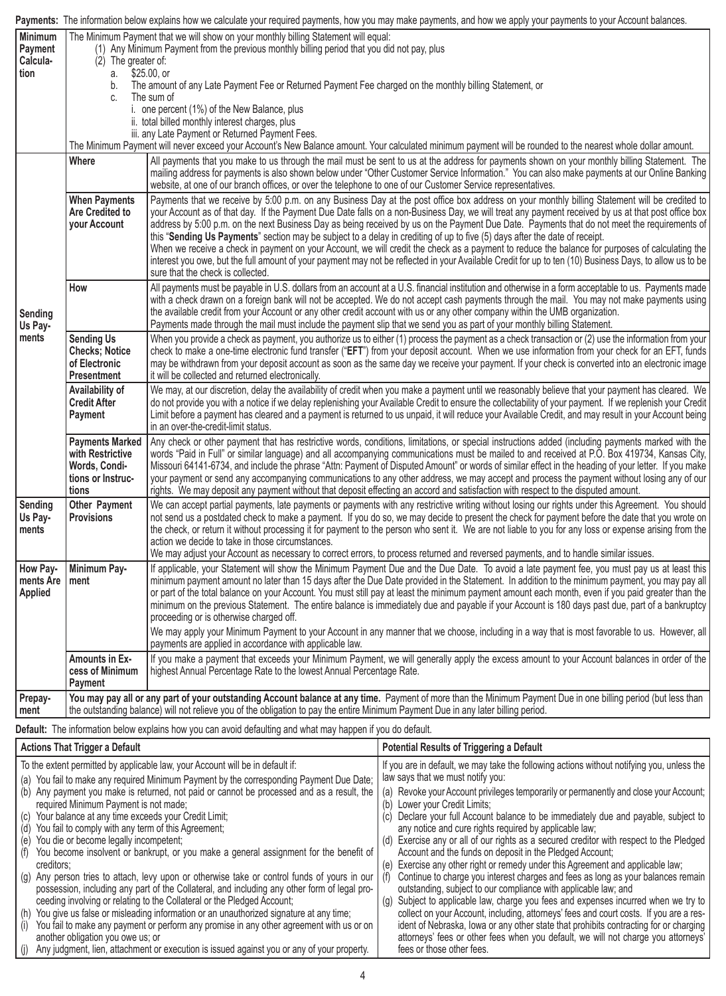|                                                                                                                                                                                                                                                                                                                                                                                                                                                                                                                                                                                                                                                                                                                                                                                                                                            | Payments: The information below explains how we calculate your required payments, how you may make payments, and how we apply your payments to your Account balances.                                                                                                                                              |                                                                                                                                                                                                                                                                                                                                                                                                                                                                                                                                                                                                                                                                                                                                                                                                                                                                                                                                        |                                                                                                                                                                                                                                                                                                |  |  |
|--------------------------------------------------------------------------------------------------------------------------------------------------------------------------------------------------------------------------------------------------------------------------------------------------------------------------------------------------------------------------------------------------------------------------------------------------------------------------------------------------------------------------------------------------------------------------------------------------------------------------------------------------------------------------------------------------------------------------------------------------------------------------------------------------------------------------------------------|--------------------------------------------------------------------------------------------------------------------------------------------------------------------------------------------------------------------------------------------------------------------------------------------------------------------|----------------------------------------------------------------------------------------------------------------------------------------------------------------------------------------------------------------------------------------------------------------------------------------------------------------------------------------------------------------------------------------------------------------------------------------------------------------------------------------------------------------------------------------------------------------------------------------------------------------------------------------------------------------------------------------------------------------------------------------------------------------------------------------------------------------------------------------------------------------------------------------------------------------------------------------|------------------------------------------------------------------------------------------------------------------------------------------------------------------------------------------------------------------------------------------------------------------------------------------------|--|--|
| Minimum<br>Payment<br>Calcula-<br>tion                                                                                                                                                                                                                                                                                                                                                                                                                                                                                                                                                                                                                                                                                                                                                                                                     | The Minimum Payment that we will show on your monthly billing Statement will equal:<br>(1) Any Minimum Payment from the previous monthly billing period that you did not pay, plus<br>$(2)$ The greater of:<br>\$25.00, or<br>а.                                                                                   |                                                                                                                                                                                                                                                                                                                                                                                                                                                                                                                                                                                                                                                                                                                                                                                                                                                                                                                                        |                                                                                                                                                                                                                                                                                                |  |  |
|                                                                                                                                                                                                                                                                                                                                                                                                                                                                                                                                                                                                                                                                                                                                                                                                                                            | b.                                                                                                                                                                                                                                                                                                                 | The amount of any Late Payment Fee or Returned Payment Fee charged on the monthly billing Statement, or                                                                                                                                                                                                                                                                                                                                                                                                                                                                                                                                                                                                                                                                                                                                                                                                                                |                                                                                                                                                                                                                                                                                                |  |  |
|                                                                                                                                                                                                                                                                                                                                                                                                                                                                                                                                                                                                                                                                                                                                                                                                                                            | C.                                                                                                                                                                                                                                                                                                                 | The sum of<br>i. one percent (1%) of the New Balance, plus                                                                                                                                                                                                                                                                                                                                                                                                                                                                                                                                                                                                                                                                                                                                                                                                                                                                             |                                                                                                                                                                                                                                                                                                |  |  |
|                                                                                                                                                                                                                                                                                                                                                                                                                                                                                                                                                                                                                                                                                                                                                                                                                                            |                                                                                                                                                                                                                                                                                                                    | ii. total billed monthly interest charges, plus<br>iii. any Late Payment or Returned Payment Fees.                                                                                                                                                                                                                                                                                                                                                                                                                                                                                                                                                                                                                                                                                                                                                                                                                                     |                                                                                                                                                                                                                                                                                                |  |  |
|                                                                                                                                                                                                                                                                                                                                                                                                                                                                                                                                                                                                                                                                                                                                                                                                                                            |                                                                                                                                                                                                                                                                                                                    |                                                                                                                                                                                                                                                                                                                                                                                                                                                                                                                                                                                                                                                                                                                                                                                                                                                                                                                                        | The Minimum Payment will never exceed your Account's New Balance amount. Your calculated minimum payment will be rounded to the nearest whole dollar amount.                                                                                                                                   |  |  |
|                                                                                                                                                                                                                                                                                                                                                                                                                                                                                                                                                                                                                                                                                                                                                                                                                                            | Where                                                                                                                                                                                                                                                                                                              | website, at one of our branch offices, or over the telephone to one of our Customer Service representatives.                                                                                                                                                                                                                                                                                                                                                                                                                                                                                                                                                                                                                                                                                                                                                                                                                           | All payments that you make to us through the mail must be sent to us at the address for payments shown on your monthly billing Statement. The<br>mailing address for payments is also shown below under "Other Customer Service Information." You can also make payments at our Online Banking |  |  |
| Sending<br>Us Pay-<br>ments                                                                                                                                                                                                                                                                                                                                                                                                                                                                                                                                                                                                                                                                                                                                                                                                                | <b>When Payments</b><br><b>Are Credited to</b><br>your Account                                                                                                                                                                                                                                                     | Payments that we receive by 5:00 p.m. on any Business Day at the post office box address on your monthly billing Statement will be credited to<br>your Account as of that day. If the Payment Due Date falls on a non-Business Day, we will treat any payment received by us at that post office box<br>address by 5:00 p.m. on the next Business Day as being received by us on the Payment Due Date. Payments that do not meet the requirements of<br>this "Sending Us Payments" section may be subject to a delay in crediting of up to five (5) days after the date of receipt.<br>When we receive a check in payment on your Account, we will credit the check as a payment to reduce the balance for purposes of calculating the<br>interest you owe, but the full amount of your payment may not be reflected in your Available Credit for up to ten (10) Business Days, to allow us to be<br>sure that the check is collected. |                                                                                                                                                                                                                                                                                                |  |  |
|                                                                                                                                                                                                                                                                                                                                                                                                                                                                                                                                                                                                                                                                                                                                                                                                                                            | How                                                                                                                                                                                                                                                                                                                | All payments must be payable in U.S. dollars from an account at a U.S. financial institution and otherwise in a form acceptable to us. Payments made<br>with a check drawn on a foreign bank will not be accepted. We do not accept cash payments through the mail. You may not make payments using<br>the available credit from your Account or any other credit account with us or any other company within the UMB organization.<br>Payments made through the mail must include the payment slip that we send you as part of your monthly billing Statement.                                                                                                                                                                                                                                                                                                                                                                        |                                                                                                                                                                                                                                                                                                |  |  |
|                                                                                                                                                                                                                                                                                                                                                                                                                                                                                                                                                                                                                                                                                                                                                                                                                                            | <b>Sending Us</b><br><b>Checks</b> ; Notice<br>of Electronic<br><b>Presentment</b>                                                                                                                                                                                                                                 | When you provide a check as payment, you authorize us to either (1) process the payment as a check transaction or (2) use the information from your<br>check to make a one-time electronic fund transfer ("EFT") from your deposit account. When we use information from your check for an EFT, funds<br>may be withdrawn from your deposit account as soon as the same day we receive your payment. If your check is converted into an electronic image<br>it will be collected and returned electronically.                                                                                                                                                                                                                                                                                                                                                                                                                          |                                                                                                                                                                                                                                                                                                |  |  |
|                                                                                                                                                                                                                                                                                                                                                                                                                                                                                                                                                                                                                                                                                                                                                                                                                                            | Availability of<br><b>Credit After</b><br>Payment                                                                                                                                                                                                                                                                  | We may, at our discretion, delay the availability of credit when you make a payment until we reasonably believe that your payment has cleared. We<br>do not provide you with a notice if we delay replenishing your Available Credit to ensure the collectability of your payment. If we replenish your Credit<br>Limit before a payment has cleared and a payment is returned to us unpaid, it will reduce your Available Credit, and may result in your Account being<br>in an over-the-credit-limit status.                                                                                                                                                                                                                                                                                                                                                                                                                         |                                                                                                                                                                                                                                                                                                |  |  |
| Any check or other payment that has restrictive words, conditions, limitations, or special instructions added (including payments marked with the<br><b>Payments Marked</b><br>with Restrictive<br>words "Paid in Full" or similar language) and all accompanying communications must be mailed to and received at P.O. Box 419734, Kansas City,<br>Words, Condi-<br>Missouri 64141-6734, and include the phrase "Attn: Payment of Disputed Amount" or words of similar effect in the heading of your letter. If you make<br>tions or Instruc-<br>your payment or send any accompanying communications to any other address, we may accept and process the payment without losing any of our<br>rights. We may deposit any payment without that deposit effecting an accord and satisfaction with respect to the disputed amount.<br>tions |                                                                                                                                                                                                                                                                                                                    |                                                                                                                                                                                                                                                                                                                                                                                                                                                                                                                                                                                                                                                                                                                                                                                                                                                                                                                                        |                                                                                                                                                                                                                                                                                                |  |  |
| Sending<br>Us Pay-<br>ments                                                                                                                                                                                                                                                                                                                                                                                                                                                                                                                                                                                                                                                                                                                                                                                                                | Other Payment<br><b>Provisions</b>                                                                                                                                                                                                                                                                                 | We can accept partial payments, late payments or payments with any restrictive writing without losing our rights under this Agreement. You should<br>not send us a postdated check to make a payment. If you do so, we may decide to present the check for payment before the date that you wrote on<br>the check, or return it without processing it for payment to the person who sent it. We are not liable to you for any loss or expense arising from the<br>action we decide to take in those circumstances.<br>We may adjust your Account as necessary to correct errors, to process returned and reversed payments, and to handle similar issues.                                                                                                                                                                                                                                                                              |                                                                                                                                                                                                                                                                                                |  |  |
| How Pay-<br>ments Are<br><b>Applied</b>                                                                                                                                                                                                                                                                                                                                                                                                                                                                                                                                                                                                                                                                                                                                                                                                    | Minimum Pay-<br>ment                                                                                                                                                                                                                                                                                               | If applicable, your Statement will show the Minimum Payment Due and the Due Date. To avoid a late payment fee, you must pay us at least this<br>minimum payment amount no later than 15 days after the Due Date provided in the Statement. In addition to the minimum payment, you may pay all<br>or part of the total balance on your Account. You must still pay at least the minimum payment amount each month, even if you paid greater than the<br>minimum on the previous Statement. The entire balance is immediately due and payable if your Account is 180 days past due, part of a bankruptcy<br>proceeding or is otherwise charged off.                                                                                                                                                                                                                                                                                     |                                                                                                                                                                                                                                                                                                |  |  |
|                                                                                                                                                                                                                                                                                                                                                                                                                                                                                                                                                                                                                                                                                                                                                                                                                                            |                                                                                                                                                                                                                                                                                                                    | payments are applied in accordance with applicable law.                                                                                                                                                                                                                                                                                                                                                                                                                                                                                                                                                                                                                                                                                                                                                                                                                                                                                | We may apply your Minimum Payment to your Account in any manner that we choose, including in a way that is most favorable to us. However, all                                                                                                                                                  |  |  |
|                                                                                                                                                                                                                                                                                                                                                                                                                                                                                                                                                                                                                                                                                                                                                                                                                                            | <b>Amounts in Ex-</b><br>cess of Minimum<br>Payment                                                                                                                                                                                                                                                                | If you make a payment that exceeds your Minimum Payment, we will generally apply the excess amount to your Account balances in order of the<br>highest Annual Percentage Rate to the lowest Annual Percentage Rate.                                                                                                                                                                                                                                                                                                                                                                                                                                                                                                                                                                                                                                                                                                                    |                                                                                                                                                                                                                                                                                                |  |  |
| Prepay-<br>ment                                                                                                                                                                                                                                                                                                                                                                                                                                                                                                                                                                                                                                                                                                                                                                                                                            | You may pay all or any part of your outstanding Account balance at any time. Payment of more than the Minimum Payment Due in one billing period (but less than<br>the outstanding balance) will not relieve you of the obligation to pay the entire Minimum Payment Due in any later billing period.               |                                                                                                                                                                                                                                                                                                                                                                                                                                                                                                                                                                                                                                                                                                                                                                                                                                                                                                                                        |                                                                                                                                                                                                                                                                                                |  |  |
|                                                                                                                                                                                                                                                                                                                                                                                                                                                                                                                                                                                                                                                                                                                                                                                                                                            |                                                                                                                                                                                                                                                                                                                    | Default: The information below explains how you can avoid defaulting and what may happen if you do default.                                                                                                                                                                                                                                                                                                                                                                                                                                                                                                                                                                                                                                                                                                                                                                                                                            |                                                                                                                                                                                                                                                                                                |  |  |
|                                                                                                                                                                                                                                                                                                                                                                                                                                                                                                                                                                                                                                                                                                                                                                                                                                            | <b>Actions That Trigger a Default</b>                                                                                                                                                                                                                                                                              |                                                                                                                                                                                                                                                                                                                                                                                                                                                                                                                                                                                                                                                                                                                                                                                                                                                                                                                                        | <b>Potential Results of Triggering a Default</b>                                                                                                                                                                                                                                               |  |  |
| To the extent permitted by applicable law, your Account will be in default if:<br>If you are in default, we may take the following actions without notifying you, unless the<br>(a) You fail to make any required Minimum Payment by the corresponding Payment Due Date;                                                                                                                                                                                                                                                                                                                                                                                                                                                                                                                                                                   |                                                                                                                                                                                                                                                                                                                    |                                                                                                                                                                                                                                                                                                                                                                                                                                                                                                                                                                                                                                                                                                                                                                                                                                                                                                                                        | law says that we must notify you:                                                                                                                                                                                                                                                              |  |  |
| (b) Any payment you make is returned, not paid or cannot be processed and as a result, the<br>(a) Revoke your Account privileges temporarily or permanently and close your Account;                                                                                                                                                                                                                                                                                                                                                                                                                                                                                                                                                                                                                                                        |                                                                                                                                                                                                                                                                                                                    |                                                                                                                                                                                                                                                                                                                                                                                                                                                                                                                                                                                                                                                                                                                                                                                                                                                                                                                                        |                                                                                                                                                                                                                                                                                                |  |  |
| required Minimum Payment is not made;<br>(b) Lower your Credit Limits;<br>(c) Your balance at any time exceeds your Credit Limit;<br>(c) Declare your full Account balance to be immediately due and payable, subject to                                                                                                                                                                                                                                                                                                                                                                                                                                                                                                                                                                                                                   |                                                                                                                                                                                                                                                                                                                    |                                                                                                                                                                                                                                                                                                                                                                                                                                                                                                                                                                                                                                                                                                                                                                                                                                                                                                                                        |                                                                                                                                                                                                                                                                                                |  |  |
| (d) You fail to comply with any term of this Agreement;<br>any notice and cure rights required by applicable law;<br>(d) Exercise any or all of our rights as a secured creditor with respect to the Pledged<br>(e) You die or become legally incompetent;                                                                                                                                                                                                                                                                                                                                                                                                                                                                                                                                                                                 |                                                                                                                                                                                                                                                                                                                    |                                                                                                                                                                                                                                                                                                                                                                                                                                                                                                                                                                                                                                                                                                                                                                                                                                                                                                                                        |                                                                                                                                                                                                                                                                                                |  |  |
| (f) You become insolvent or bankrupt, or you make a general assignment for the benefit of<br>Account and the funds on deposit in the Pledged Account;                                                                                                                                                                                                                                                                                                                                                                                                                                                                                                                                                                                                                                                                                      |                                                                                                                                                                                                                                                                                                                    |                                                                                                                                                                                                                                                                                                                                                                                                                                                                                                                                                                                                                                                                                                                                                                                                                                                                                                                                        |                                                                                                                                                                                                                                                                                                |  |  |
| (e) Exercise any other right or remedy under this Agreement and applicable law;<br>creditors;<br>(g) Any person tries to attach, levy upon or otherwise take or control funds of yours in our<br>(f) Continue to charge you interest charges and fees as long as your balances remain                                                                                                                                                                                                                                                                                                                                                                                                                                                                                                                                                      |                                                                                                                                                                                                                                                                                                                    |                                                                                                                                                                                                                                                                                                                                                                                                                                                                                                                                                                                                                                                                                                                                                                                                                                                                                                                                        |                                                                                                                                                                                                                                                                                                |  |  |
| possession, including any part of the Collateral, and including any other form of legal pro-<br>outstanding, subject to our compliance with applicable law; and<br>ceeding involving or relating to the Collateral or the Pledged Account;<br>(g) Subject to applicable law, charge you fees and expenses incurred when we try to                                                                                                                                                                                                                                                                                                                                                                                                                                                                                                          |                                                                                                                                                                                                                                                                                                                    |                                                                                                                                                                                                                                                                                                                                                                                                                                                                                                                                                                                                                                                                                                                                                                                                                                                                                                                                        |                                                                                                                                                                                                                                                                                                |  |  |
|                                                                                                                                                                                                                                                                                                                                                                                                                                                                                                                                                                                                                                                                                                                                                                                                                                            | (h) You give us false or misleading information or an unauthorized signature at any time;<br>collect on your Account, including, attorneys' fees and court costs. If you are a res-                                                                                                                                |                                                                                                                                                                                                                                                                                                                                                                                                                                                                                                                                                                                                                                                                                                                                                                                                                                                                                                                                        |                                                                                                                                                                                                                                                                                                |  |  |
|                                                                                                                                                                                                                                                                                                                                                                                                                                                                                                                                                                                                                                                                                                                                                                                                                                            | You fail to make any payment or perform any promise in any other agreement with us or on<br>ident of Nebraska, lowa or any other state that prohibits contracting for or charging<br>(i)<br>another obligation you owe us; or<br>attorneys' fees or other fees when you default, we will not charge you attorneys' |                                                                                                                                                                                                                                                                                                                                                                                                                                                                                                                                                                                                                                                                                                                                                                                                                                                                                                                                        |                                                                                                                                                                                                                                                                                                |  |  |

fees or those other fees.

(j) Any judgment, lien, attachment or execution is issued against you or any of your property.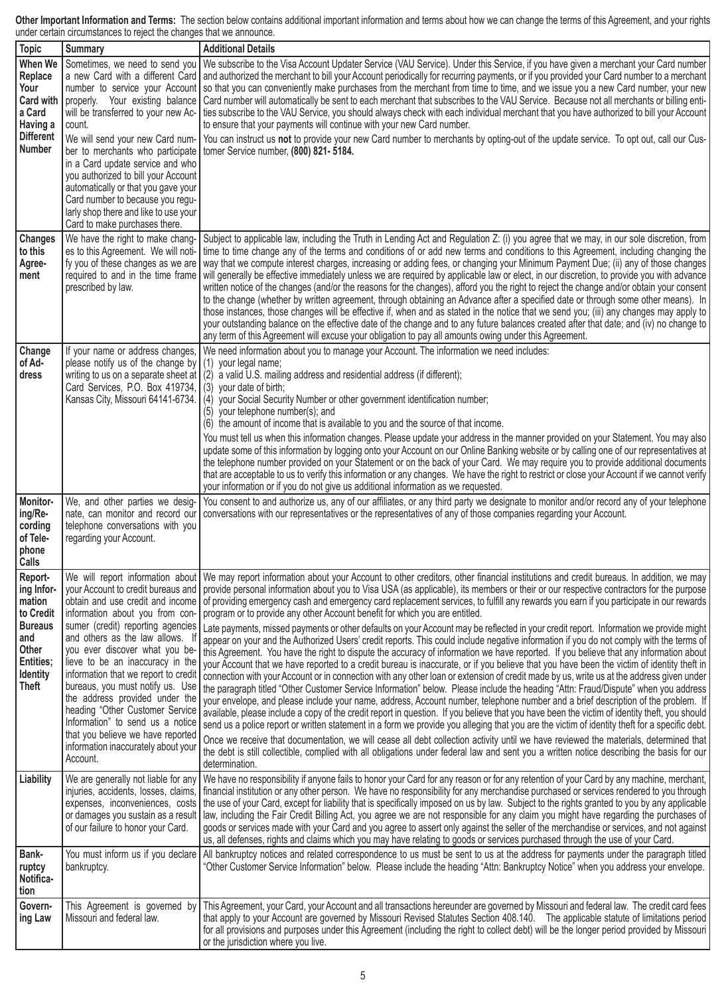**Other Important Information and Terms:** The section below contains additional important information and terms about how we can change the terms of this Agreement, and your rights under certain circumstances to reject the changes that we announce.

| <b>Topic</b>                                                                                                                   | <b>Summary</b>                                                                                                                                                                                                                                                                                                                                                                                                           | <b>Additional Details</b>                                                                                                                                                                                                                                                                                                                                                                                                                                                                                                                                                                                                                                                                                                                                                                                                                                                                                                                                                                                                                                                                                                                                                                                                                                                                                                                                                                                                                                                                                                                                                                                                                                                                                                                                                                                                                                                                                                                                                                                                                                                                                                                                                                                                                                 |
|--------------------------------------------------------------------------------------------------------------------------------|--------------------------------------------------------------------------------------------------------------------------------------------------------------------------------------------------------------------------------------------------------------------------------------------------------------------------------------------------------------------------------------------------------------------------|-----------------------------------------------------------------------------------------------------------------------------------------------------------------------------------------------------------------------------------------------------------------------------------------------------------------------------------------------------------------------------------------------------------------------------------------------------------------------------------------------------------------------------------------------------------------------------------------------------------------------------------------------------------------------------------------------------------------------------------------------------------------------------------------------------------------------------------------------------------------------------------------------------------------------------------------------------------------------------------------------------------------------------------------------------------------------------------------------------------------------------------------------------------------------------------------------------------------------------------------------------------------------------------------------------------------------------------------------------------------------------------------------------------------------------------------------------------------------------------------------------------------------------------------------------------------------------------------------------------------------------------------------------------------------------------------------------------------------------------------------------------------------------------------------------------------------------------------------------------------------------------------------------------------------------------------------------------------------------------------------------------------------------------------------------------------------------------------------------------------------------------------------------------------------------------------------------------------------------------------------------------|
| When We<br><b>Replace</b><br>Your<br>Card with<br>a Card<br>Having a<br><b>Different</b><br>Number                             | will be transferred to your new Ac-<br>count.<br>We will send your new Card num-<br>in a Card update service and who<br>you authorized to bill your Account<br>automatically or that you gave your<br>Card number to because you regu-<br>larly shop there and like to use your<br>Card to make purchases there.                                                                                                         | Sometimes, we need to send you We subscribe to the Visa Account Updater Service (VAU Service). Under this Service, if you have given a merchant your Card number<br>a new Card with a different Card   and authorized the merchant to bill your Account periodically for recurring payments, or if you provided your Card number to a merchant<br>number to service your Account so that you can conveniently make purchases from the merchant from time to time, and we issue you a new Card number, your new<br>properly. Your existing balance Card number will automatically be sent to each merchant that subscribes to the VAU Service. Because not all merchants or billing enti-<br>ties subscribe to the VAU Service, you should always check with each individual merchant that you have authorized to bill your Account<br>to ensure that your payments will continue with your new Card number.<br>You can instruct us not to provide your new Card number to merchants by opting-out of the update service. To opt out, call our Cus-<br>ber to merchants who participate tomer Service number, (800) 821-5184.                                                                                                                                                                                                                                                                                                                                                                                                                                                                                                                                                                                                                                                                                                                                                                                                                                                                                                                                                                                                                                                                                                                              |
| <b>Changes</b><br>to this<br>Agree-<br>ment                                                                                    | We have the right to make chang-<br>es to this Agreement. We will noti-<br>fy you of these changes as we are<br>required to and in the time frame<br>prescribed by law.                                                                                                                                                                                                                                                  | Subject to applicable law, including the Truth in Lending Act and Regulation Z: (i) you agree that we may, in our sole discretion, from<br>time to time change any of the terms and conditions of or add new terms and conditions to this Agreement, including changing the<br>way that we compute interest charges, increasing or adding fees, or changing your Minimum Payment Due; (ii) any of those changes<br>will generally be effective immediately unless we are required by applicable law or elect, in our discretion, to provide you with advance<br>written notice of the changes (and/or the reasons for the changes), afford you the right to reject the change and/or obtain your consent<br>to the change (whether by written agreement, through obtaining an Advance after a specified date or through some other means). In<br>those instances, those changes will be effective if, when and as stated in the notice that we send you; (iii) any changes may apply to<br>your outstanding balance on the effective date of the change and to any future balances created after that date; and (iv) no change to<br>any term of this Agreement will excuse your obligation to pay all amounts owing under this Agreement.                                                                                                                                                                                                                                                                                                                                                                                                                                                                                                                                                                                                                                                                                                                                                                                                                                                                                                                                                                                                                |
| Change<br>of Ad-<br>dress                                                                                                      | If your name or address changes,<br>please notify us of the change by $(1)$ your legal name;<br>Card Services, P.O. Box 419734, (3) your date of birth;<br>Kansas City, Missouri 64141-6734.                                                                                                                                                                                                                             | We need information about you to manage your Account. The information we need includes:<br>writing to us on a separate sheet at (2) a valid U.S. mailing address and residential address (if different);<br>(4) your Social Security Number or other government identification number;<br>(5) your telephone number(s); and<br>(6) the amount of income that is available to you and the source of that income.<br>You must tell us when this information changes. Please update your address in the manner provided on your Statement. You may also<br>update some of this information by logging onto your Account on our Online Banking website or by calling one of our representatives at<br>the telephone number provided on your Statement or on the back of your Card. We may require you to provide additional documents<br>that are acceptable to us to verify this information or any changes. We have the right to restrict or close your Account if we cannot verify<br>your information or if you do not give us additional information as we requested.                                                                                                                                                                                                                                                                                                                                                                                                                                                                                                                                                                                                                                                                                                                                                                                                                                                                                                                                                                                                                                                                                                                                                                                    |
| Monitor-<br>ing/Re-<br>cording<br>of Tele-<br>phone<br><b>Calls</b>                                                            | We, and other parties we desig-<br>nate, can monitor and record our<br>telephone conversations with you<br>regarding your Account.                                                                                                                                                                                                                                                                                       | You consent to and authorize us, any of our affiliates, or any third party we designate to monitor and/or record any of your telephone<br>conversations with our representatives or the representatives of any of those companies regarding your Account.                                                                                                                                                                                                                                                                                                                                                                                                                                                                                                                                                                                                                                                                                                                                                                                                                                                                                                                                                                                                                                                                                                                                                                                                                                                                                                                                                                                                                                                                                                                                                                                                                                                                                                                                                                                                                                                                                                                                                                                                 |
| Report-<br>ing Infor-<br>mation<br>to Credit<br><b>Bureaus</b><br>and<br>Other<br><b>Entities;</b><br>Identity<br><b>Theft</b> | sumer (credit) reporting agencies<br>and others as the law allows. If<br>you ever discover what you be-<br>lieve to be an inaccuracy in the<br>information that we report to credit<br>bureaus, you must notify us. Use<br>the address provided under the<br>heading "Other Customer Service<br>Information" to send us a notice<br>that you believe we have reported<br>information inaccurately about your<br>Account. | We will report information about We may report information about your Account to other creditors, other financial institutions and credit bureaus. In addition, we may<br>your Account to credit bureaus and   provide personal information about you to Visa USA (as applicable), its members or their or our respective contractors for the purpose<br>obtain and use credit and income of providing emergency cash and emergency card replacement services, to fulfill any rewards you earn if you participate in our rewards<br>information about you from con- program or to provide any other Account benefit for which you are entitled.<br>Late payments, missed payments or other defaults on your Account may be reflected in your credit report. Information we provide might<br>appear on your and the Authorized Users' credit reports. This could include negative information if you do not comply with the terms of<br>this Agreement. You have the right to dispute the accuracy of information we have reported. If you believe that any information about<br>your Account that we have reported to a credit bureau is inaccurate, or if you believe that you have been the victim of identity theft in<br>connection with your Account or in connection with any other loan or extension of credit made by us, write us at the address given under<br>the paragraph titled "Other Customer Service Information" below. Please include the heading "Attn: Fraud/Dispute" when you address<br>your envelope, and please include your name, address, Account number, telephone number and a brief description of the problem. If<br>available, please include a copy of the credit report in question. If you believe that you have been the victim of identity theft, you should<br>send us a police report or written statement in a form we provide you alleging that you are the victim of identity theft for a specific debt.<br>Once we receive that documentation, we will cease all debt collection activity until we have reviewed the materials, determined that<br>the debt is still collectible, complied with all obligations under federal law and sent you a written notice describing the basis for our<br>determination. |
| Liability                                                                                                                      | We are generally not liable for any<br>injuries, accidents, losses, claims,<br>or damages you sustain as a result<br>of our failure to honor your Card.                                                                                                                                                                                                                                                                  | We have no responsibility if anyone fails to honor your Card for any reason or for any retention of your Card by any machine, merchant,<br>financial institution or any other person. We have no responsibility for any merchandise purchased or services rendered to you through<br>expenses, inconveniences, costs the use of your Card, except for liability that is specifically imposed on us by law. Subject to the rights granted to you by any applicable<br>law, including the Fair Credit Billing Act, you agree we are not responsible for any claim you might have regarding the purchases of<br>goods or services made with your Card and you agree to assert only against the seller of the merchandise or services, and not against<br>us, all defenses, rights and claims which you may have relating to goods or services purchased through the use of your Card.                                                                                                                                                                                                                                                                                                                                                                                                                                                                                                                                                                                                                                                                                                                                                                                                                                                                                                                                                                                                                                                                                                                                                                                                                                                                                                                                                                        |
| <b>Bank-</b><br>ruptcy<br>Notifica-<br>tion                                                                                    | bankruptcy.                                                                                                                                                                                                                                                                                                                                                                                                              | You must inform us if you declare All bankruptcy notices and related correspondence to us must be sent to us at the address for payments under the paragraph titled<br>"Other Customer Service Information" below. Please include the heading "Attn: Bankruptcy Notice" when you address your envelope.                                                                                                                                                                                                                                                                                                                                                                                                                                                                                                                                                                                                                                                                                                                                                                                                                                                                                                                                                                                                                                                                                                                                                                                                                                                                                                                                                                                                                                                                                                                                                                                                                                                                                                                                                                                                                                                                                                                                                   |
| Govern-<br>ing Law                                                                                                             | This Agreement is governed by<br>Missouri and federal law.                                                                                                                                                                                                                                                                                                                                                               | This Agreement, your Card, your Account and all transactions hereunder are governed by Missouri and federal law. The credit card fees<br>that apply to your Account are governed by Missouri Revised Statutes Section 408.140. The applicable statute of limitations period<br>for all provisions and purposes under this Agreement (including the right to collect debt) will be the longer period provided by Missouri<br>or the jurisdiction where you live.                                                                                                                                                                                                                                                                                                                                                                                                                                                                                                                                                                                                                                                                                                                                                                                                                                                                                                                                                                                                                                                                                                                                                                                                                                                                                                                                                                                                                                                                                                                                                                                                                                                                                                                                                                                           |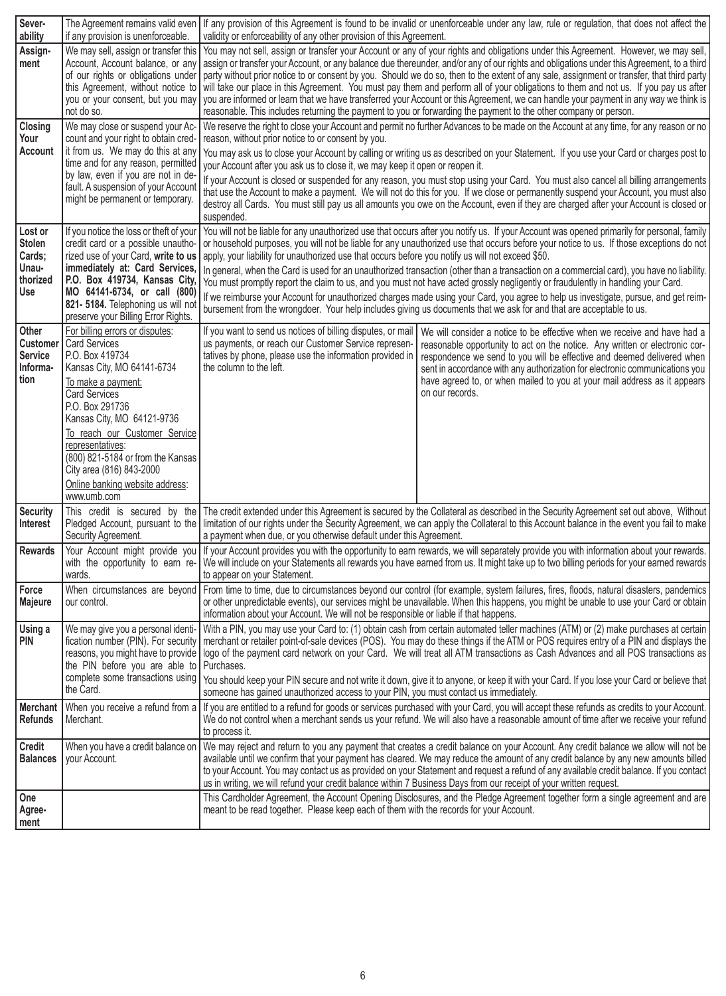| Sever-<br>ability                                                     | if any provision is unenforceable.                                                                                                                                                                                                                                                                                                                                              | The Agreement remains valid even If any provision of this Agreement is found to be invalid or unenforceable under any law, rule or regulation, that does not affect the<br>validity or enforceability of any other provision of this Agreement.                                                                                                                                                                                                                                                                                                                                                                                                                                                                                                                                                                                                                                                                                                                               |                                                                                                                                                                                                                                                                                                                                                                                                                 |  |
|-----------------------------------------------------------------------|---------------------------------------------------------------------------------------------------------------------------------------------------------------------------------------------------------------------------------------------------------------------------------------------------------------------------------------------------------------------------------|-------------------------------------------------------------------------------------------------------------------------------------------------------------------------------------------------------------------------------------------------------------------------------------------------------------------------------------------------------------------------------------------------------------------------------------------------------------------------------------------------------------------------------------------------------------------------------------------------------------------------------------------------------------------------------------------------------------------------------------------------------------------------------------------------------------------------------------------------------------------------------------------------------------------------------------------------------------------------------|-----------------------------------------------------------------------------------------------------------------------------------------------------------------------------------------------------------------------------------------------------------------------------------------------------------------------------------------------------------------------------------------------------------------|--|
| Assign-<br>ment                                                       | of our rights or obligations under<br>this Agreement, without notice to<br>not do so.                                                                                                                                                                                                                                                                                           | We may sell, assign or transfer this   You may not sell, assign or transfer your Account or any of your rights and obligations under this Agreement. However, we may sell,<br>Account, Account balance, or any assign or transfer your Account, or any balance due thereunder, and/or any of our rights and obligations under this Agreement, to a third<br>party without prior notice to or consent by you. Should we do so, then to the extent of any sale, assignment or transfer, that third party<br>will take our place in this Agreement. You must pay them and perform all of your obligations to them and not us. If you pay us after<br>you or your consent, but you may   you are informed or learn that we have transferred your Account or this Agreement, we can handle your payment in any way we think is<br>reasonable. This includes returning the payment to you or forwarding the payment to the other company or person.                                 |                                                                                                                                                                                                                                                                                                                                                                                                                 |  |
| <b>Closing</b><br>Your<br><b>Account</b>                              | We may close or suspend your Ac-<br>count and your right to obtain cred-<br>it from us. We may do this at any<br>time and for any reason, permitted<br>by law, even if you are not in de-<br>fault. A suspension of your Account<br>might be permanent or temporary.                                                                                                            | We reserve the right to close your Account and permit no further Advances to be made on the Account at any time, for any reason or no<br>reason, without prior notice to or consent by you.<br>You may ask us to close your Account by calling or writing us as described on your Statement. If you use your Card or charges post to<br>your Account after you ask us to close it, we may keep it open or reopen it.<br>If your Account is closed or suspended for any reason, you must stop using your Card. You must also cancel all billing arrangements<br>that use the Account to make a payment. We will not do this for you. If we close or permanently suspend your Account, you must also<br>destroy all Cards. You must still pay us all amounts you owe on the Account, even if they are charged after your Account is closed or<br>suspended.                                                                                                                     |                                                                                                                                                                                                                                                                                                                                                                                                                 |  |
| Lost or<br><b>Stolen</b><br>Cards;<br>Unau-<br>thorized<br><b>Use</b> | If you notice the loss or theft of your<br>credit card or a possible unautho-<br>immediately at: Card Services,<br>P.O. Box 419734, Kansas City,<br>MO 64141-6734, or call (800)<br>821- 5184. Telephoning us will not<br>preserve your Billing Error Rights.                                                                                                                   | You will not be liable for any unauthorized use that occurs after you notify us. If your Account was opened primarily for personal, family<br>or household purposes, you will not be liable for any unauthorized use that occurs before your notice to us. If those exceptions do not<br>rized use of your Card, write to us apply, your liability for unauthorized use that occurs before you notify us will not exceed \$50.<br>In general, when the Card is used for an unauthorized transaction (other than a transaction on a commercial card), you have no liability.<br>You must promptly report the claim to us, and you must not have acted grossly negligently or fraudulently in handling your Card.<br>If we reimburse your Account for unauthorized charges made using your Card, you agree to help us investigate, pursue, and get reim-<br>bursement from the wrongdoer. Your help includes giving us documents that we ask for and that are acceptable to us. |                                                                                                                                                                                                                                                                                                                                                                                                                 |  |
| Other<br><b>Customer</b><br><b>Service</b><br>Informa-<br>tion        | For billing errors or disputes:<br><b>Card Services</b><br>P.O. Box 419734<br>Kansas City, MO 64141-6734<br>To make a payment:<br><b>Card Services</b><br>P.O. Box 291736<br>Kansas City, MO 64121-9736<br>To reach our Customer Service<br>representatives:<br>(800) 821-5184 or from the Kansas<br>City area (816) 843-2000<br>Online banking website address:<br>www.umb.com | If you want to send us notices of billing disputes, or mail<br>us payments, or reach our Customer Service represen-<br>tatives by phone, please use the information provided in<br>the column to the left.                                                                                                                                                                                                                                                                                                                                                                                                                                                                                                                                                                                                                                                                                                                                                                    | We will consider a notice to be effective when we receive and have had a<br>reasonable opportunity to act on the notice. Any written or electronic cor-<br>respondence we send to you will be effective and deemed delivered when<br>sent in accordance with any authorization for electronic communications you<br>have agreed to, or when mailed to you at your mail address as it appears<br>on our records. |  |
| Security<br>Interest                                                  | Security Agreement.                                                                                                                                                                                                                                                                                                                                                             | a payment when due, or you otherwise default under this Agreement.                                                                                                                                                                                                                                                                                                                                                                                                                                                                                                                                                                                                                                                                                                                                                                                                                                                                                                            | This credit is secured by the The credit extended under this Agreement is secured by the Collateral as described in the Security Agreement set out above, Without<br>Pledged Account, pursuant to the limitation of our rights under the Security Agreement, we can apply the Collateral to this Account balance in the event you fail to make                                                                  |  |
| <b>Rewards</b>                                                        | Your Account might provide you<br>with the opportunity to earn re-<br>wards.                                                                                                                                                                                                                                                                                                    | If your Account provides you with the opportunity to earn rewards, we will separately provide you with information about your rewards.<br>We will include on your Statements all rewards you have earned from us. It might take up to two billing periods for your earned rewards<br>to appear on your Statement.                                                                                                                                                                                                                                                                                                                                                                                                                                                                                                                                                                                                                                                             |                                                                                                                                                                                                                                                                                                                                                                                                                 |  |
| Force<br>Majeure                                                      | our control.                                                                                                                                                                                                                                                                                                                                                                    | When circumstances are beyond From time to time, due to circumstances beyond our control (for example, system failures, fires, floods, natural disasters, pandemics<br>or other unpredictable events), our services might be unavailable. When this happens, you might be unable to use your Card or obtain<br>information about your Account. We will not be responsible or liable if that happens.                                                                                                                                                                                                                                                                                                                                                                                                                                                                                                                                                                          |                                                                                                                                                                                                                                                                                                                                                                                                                 |  |
| <b>Using a</b><br>PIN                                                 | We may give you a personal identi-<br>fication number (PIN). For security<br>the PIN before you are able to Purchases.<br>the Card.                                                                                                                                                                                                                                             | With a PIN, you may use your Card to: (1) obtain cash from certain automated teller machines (ATM) or (2) make purchases at certain<br>merchant or retailer point-of-sale devices (POS). You may do these things if the ATM or POS requires entry of a PIN and displays the<br>reasons, you might have to provide   logo of the payment card network on your Card. We will treat all ATM transactions as Cash Advances and all POS transactions as<br>complete some transactions using   You should keep your PIN secure and not write it down, give it to anyone, or keep it with your Card. If you lose your Card or believe that  <br>someone has gained unauthorized access to your PIN, you must contact us immediately.                                                                                                                                                                                                                                                 |                                                                                                                                                                                                                                                                                                                                                                                                                 |  |
| <b>Merchant</b><br><b>Refunds</b>                                     | Merchant.                                                                                                                                                                                                                                                                                                                                                                       | When you receive a refund from a   If you are entitled to a refund for goods or services purchased with your Card, you will accept these refunds as credits to your Account.<br>We do not control when a merchant sends us your refund. We will also have a reasonable amount of time after we receive your refund<br>to process it.                                                                                                                                                                                                                                                                                                                                                                                                                                                                                                                                                                                                                                          |                                                                                                                                                                                                                                                                                                                                                                                                                 |  |
| <b>Credit</b><br><b>Balances</b>                                      | When you have a credit balance on<br>your Account.                                                                                                                                                                                                                                                                                                                              | We may reject and return to you any payment that creates a credit balance on your Account. Any credit balance we allow will not be<br>available until we confirm that your payment has cleared. We may reduce the amount of any credit balance by any new amounts billed<br>to your Account. You may contact us as provided on your Statement and request a refund of any available credit balance. If you contact<br>us in writing, we will refund your credit balance within 7 Business Days from our receipt of your written request.                                                                                                                                                                                                                                                                                                                                                                                                                                      |                                                                                                                                                                                                                                                                                                                                                                                                                 |  |
| One<br>Agree-<br>  ment                                               |                                                                                                                                                                                                                                                                                                                                                                                 | meant to be read together. Please keep each of them with the records for your Account.                                                                                                                                                                                                                                                                                                                                                                                                                                                                                                                                                                                                                                                                                                                                                                                                                                                                                        | This Cardholder Agreement, the Account Opening Disclosures, and the Pledge Agreement together form a single agreement and are                                                                                                                                                                                                                                                                                   |  |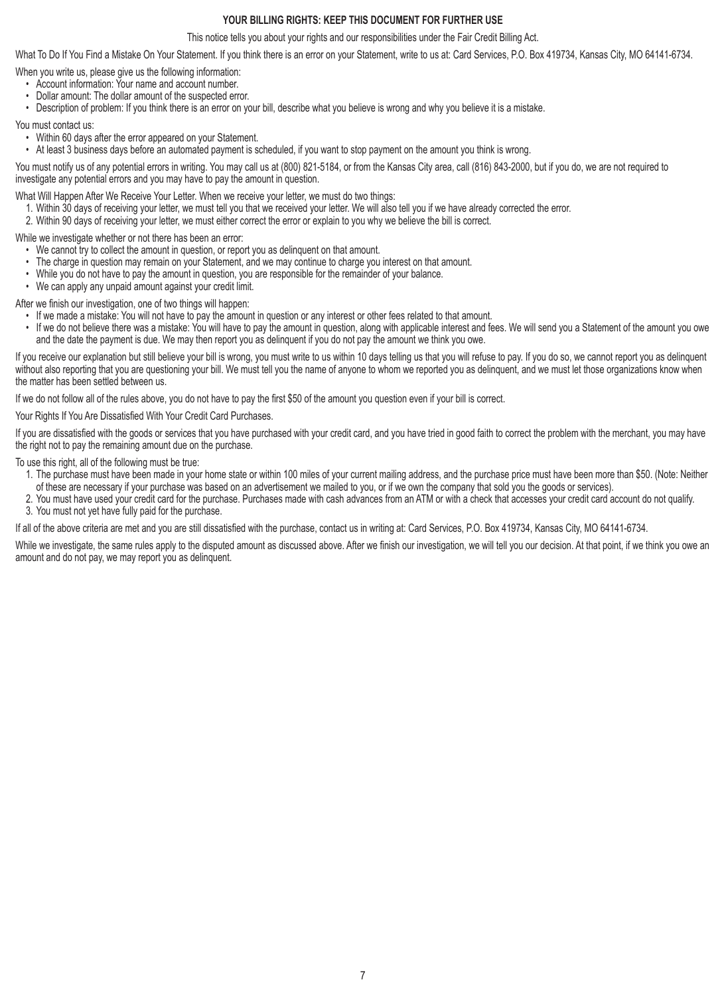## **YOUR BILLING RIGHTS: KEEP THIS DOCUMENT FOR FURTHER USE**

This notice tells you about your rights and our responsibilities under the Fair Credit Billing Act.

What To Do If You Find a Mistake On Your Statement. If you think there is an error on your Statement, write to us at: Card Services, P.O. Box 419734, Kansas City, MO 64141-6734.

When you write us, please give us the following information:

- Account information: Your name and account number.
- Dollar amount: The dollar amount of the suspected error.
- Description of problem: If you think there is an error on your bill, describe what you believe is wrong and why you believe it is a mistake.

You must contact us:

- Within 60 days after the error appeared on your Statement.
- At least 3 business days before an automated payment is scheduled, if you want to stop payment on the amount you think is wrong.

You must notify us of any potential errors in writing. You may call us at (800) 821-5184, or from the Kansas City area, call (816) 843-2000, but if you do, we are not required to investigate any potential errors and you may have to pay the amount in question.

What Will Happen After We Receive Your Letter. When we receive your letter, we must do two things:

- 1. Within 30 days of receiving your letter, we must tell you that we received your letter. We will also tell you if we have already corrected the error.
- 2. Within 90 days of receiving your letter, we must either correct the error or explain to you why we believe the bill is correct.

While we investigate whether or not there has been an error:

- We cannot try to collect the amount in question, or report you as delinquent on that amount.
- The charge in question may remain on your Statement, and we may continue to charge you interest on that amount.
- While you do not have to pay the amount in question, you are responsible for the remainder of your balance.
- We can apply any unpaid amount against your credit limit.

After we finish our investigation, one of two things will happen:

- If we made a mistake: You will not have to pay the amount in question or any interest or other fees related to that amount.
- If we do not believe there was a mistake: You will have to pay the amount in question, along with applicable interest and fees. We will send you a Statement of the amount you owe and the date the payment is due. We may then report you as delinquent if you do not pay the amount we think you owe.

If you receive our explanation but still believe your bill is wrong, you must write to us within 10 days telling us that you will refuse to pay. If you do so, we cannot report you as delinquent without also reporting that you are questioning your bill. We must tell you the name of anyone to whom we reported you as delinquent, and we must let those organizations know when the matter has been settled between us.

If we do not follow all of the rules above, you do not have to pay the first \$50 of the amount you question even if your bill is correct.

Your Rights If You Are Dissatisfied With Your Credit Card Purchases.

If you are dissatisfied with the goods or services that you have purchased with your credit card, and you have tried in good faith to correct the problem with the merchant, you may have the right not to pay the remaining amount due on the purchase.

To use this right, all of the following must be true:

- 1. The purchase must have been made in your home state or within 100 miles of your current mailing address, and the purchase price must have been more than \$50. (Note: Neither of these are necessary if your purchase was based on an advertisement we mailed to you, or if we own the company that sold you the goods or services).
- 2. You must have used your credit card for the purchase. Purchases made with cash advances from an ATM or with a check that accesses your credit card account do not qualify.
- 3. You must not yet have fully paid for the purchase.

If all of the above criteria are met and you are still dissatisfied with the purchase, contact us in writing at: Card Services, P.O. Box 419734, Kansas City, MO 64141-6734.

While we investigate, the same rules apply to the disputed amount as discussed above. After we finish our investigation, we will tell you our decision. At that point, if we think you owe an amount and do not pay, we may report you as delinquent.